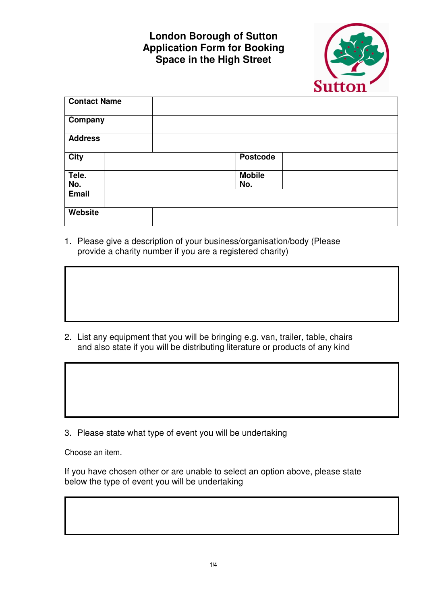## **London Borough of Sutton Application Form for Booking Space in the High Street**



| <b>Contact Name</b> |                 |
|---------------------|-----------------|
| Company             |                 |
| <b>Address</b>      |                 |
| <b>City</b>         | <b>Postcode</b> |
| Tele.               | <b>Mobile</b>   |
| No.                 | No.             |
| Email               |                 |
| Website             |                 |

1. Please give a description of your business/organisation/body (Please provide a charity number if you are a registered charity)

2. List any equipment that you will be bringing e.g. van, trailer, table, chairs and also state if you will be distributing literature or products of any kind

3. Please state what type of event you will be undertaking

Choose an item.

If you have chosen other or are unable to select an option above, please state below the type of event you will be undertaking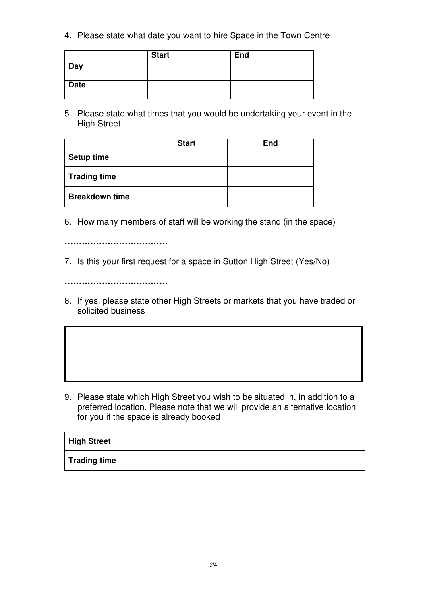4. Please state what date you want to hire Space in the Town Centre

|             | <b>Start</b> | <b>End</b> |
|-------------|--------------|------------|
| Day         |              |            |
| <b>Date</b> |              |            |

5. Please state what times that you would be undertaking your event in the High Street

|                       | <b>Start</b> | <b>End</b> |
|-----------------------|--------------|------------|
| <b>Setup time</b>     |              |            |
| <b>Trading time</b>   |              |            |
| <b>Breakdown time</b> |              |            |

6. How many members of staff will be working the stand (in the space)

**………………………………**

7. Is this your first request for a space in Sutton High Street (Yes/No)

**………………………………**

8. If yes, please state other High Streets or markets that you have traded or solicited business

9. Please state which High Street you wish to be situated in, in addition to a preferred location. Please note that we will provide an alternative location for you if the space is already booked

| <b>High Street</b>  |  |
|---------------------|--|
| <b>Trading time</b> |  |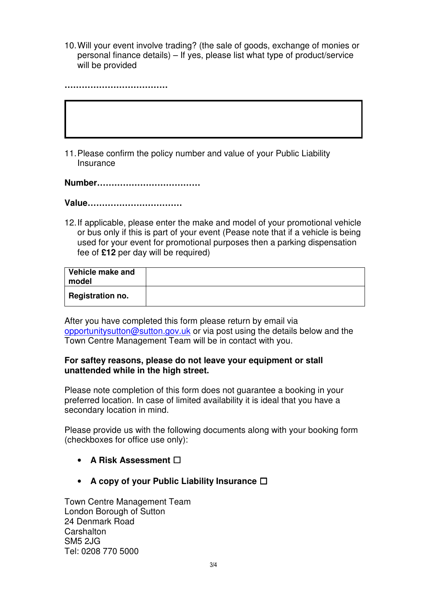10. Will your event involve trading? (the sale of goods, exchange of monies or personal finance details) – If yes, please list what type of product/service will be provided

**………………………………**

11. Please confirm the policy number and value of your Public Liability Insurance

**Number………………………………**

**Value……………………………** 

12. If applicable, please enter the make and model of your promotional vehicle or bus only if this is part of your event (Pease note that if a vehicle is being used for your event for promotional purposes then a parking dispensation fee of **£12** per day will be required)

| Vehicle make and<br>model |  |
|---------------------------|--|
| <b>Registration no.</b>   |  |

After you have completed this form please return by email via opportunitysutton@sutton.gov.uk or via post using the details below and the Town Centre Management Team will be in contact with you.

## **For saftey reasons, please do not leave your equipment or stall unattended while in the high street.**

Please note completion of this form does not guarantee a booking in your preferred location. In case of limited availability it is ideal that you have a secondary location in mind.

Please provide us with the following documents along with your booking form (checkboxes for office use only):

- **A Risk Assessment** ☐
- **A copy of your Public Liability Insurance** ☐

Town Centre Management Team London Borough of Sutton 24 Denmark Road **Carshalton** SM5 2JG Tel: 0208 770 5000